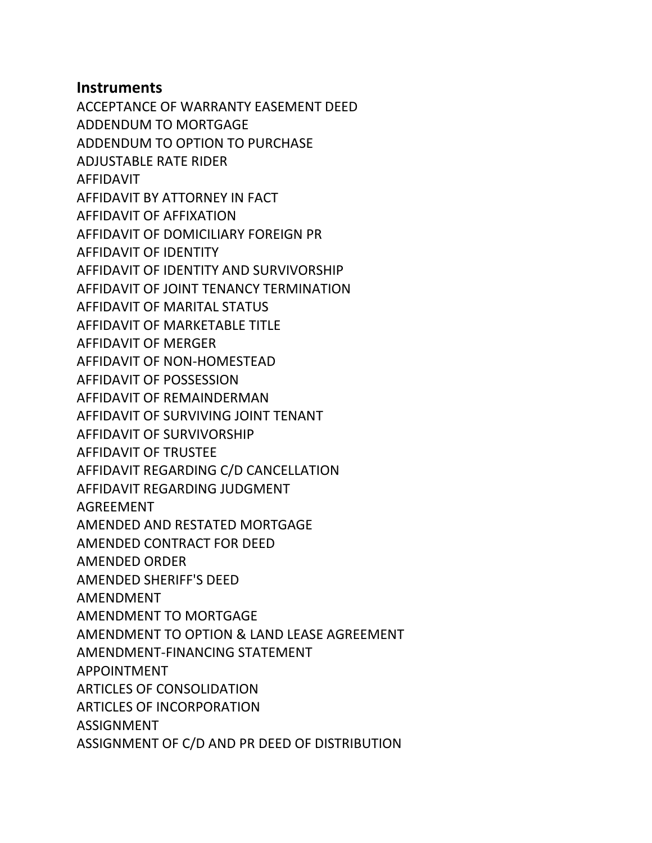## **Instruments**

ACCEPTANCE OF WARRANTY EASEMENT DEED ADDENDUM TO MORTGAGE ADDENDUM TO OPTION TO PURCHASE ADJUSTABLE RATE RIDER AFFIDAVIT AFFIDAVIT BY ATTORNEY IN FACT AFFIDAVIT OF AFFIXATION AFFIDAVIT OF DOMICILIARY FOREIGN PR AFFIDAVIT OF IDENTITY AFFIDAVIT OF IDENTITY AND SURVIVORSHIP AFFIDAVIT OF JOINT TENANCY TERMINATION AFFIDAVIT OF MARITAL STATUS AFFIDAVIT OF MARKETABLE TITLE AFFIDAVIT OF MERGER AFFIDAVIT OF NON-HOMESTEAD AFFIDAVIT OF POSSESSION AFFIDAVIT OF REMAINDERMAN AFFIDAVIT OF SURVIVING JOINT TENANT AFFIDAVIT OF SURVIVORSHIP AFFIDAVIT OF TRUSTEE AFFIDAVIT REGARDING C/D CANCELLATION AFFIDAVIT REGARDING JUDGMENT AGREEMENT AMENDED AND RESTATED MORTGAGE AMENDED CONTRACT FOR DEED AMENDED ORDER AMENDED SHERIFF'S DEED AMENDMENT AMENDMENT TO MORTGAGE AMENDMENT TO OPTION & LAND LEASE AGREEMENT AMENDMENT-FINANCING STATEMENT APPOINTMENT ARTICLES OF CONSOLIDATION ARTICLES OF INCORPORATION ASSIGNMENT ASSIGNMENT OF C/D AND PR DEED OF DISTRIBUTION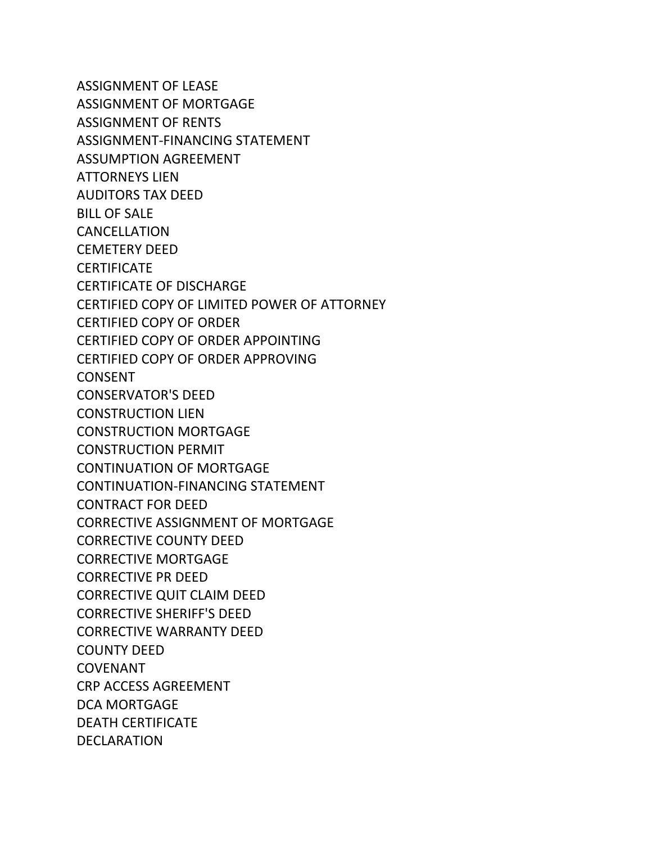ASSIGNMENT OF LEASE ASSIGNMENT OF MORTGAGE ASSIGNMENT OF RENTS ASSIGNMENT-FINANCING STATEMENT ASSUMPTION AGREEMENT ATTORNEYS LIEN AUDITORS TAX DEED BILL OF SALE CANCELLATION CEMETERY DEED **CERTIFICATE** CERTIFICATE OF DISCHARGE CERTIFIED COPY OF LIMITED POWER OF ATTORNEY CERTIFIED COPY OF ORDER CERTIFIED COPY OF ORDER APPOINTING CERTIFIED COPY OF ORDER APPROVING CONSENT CONSERVATOR'S DEED CONSTRUCTION LIEN CONSTRUCTION MORTGAGE CONSTRUCTION PERMIT CONTINUATION OF MORTGAGE CONTINUATION-FINANCING STATEMENT CONTRACT FOR DEED CORRECTIVE ASSIGNMENT OF MORTGAGE CORRECTIVE COUNTY DEED CORRECTIVE MORTGAGE CORRECTIVE PR DEED CORRECTIVE QUIT CLAIM DEED CORRECTIVE SHERIFF'S DEED CORRECTIVE WARRANTY DEED COUNTY DEED COVENANT CRP ACCESS AGREEMENT DCA MORTGAGE DEATH CERTIFICATE DECLARATION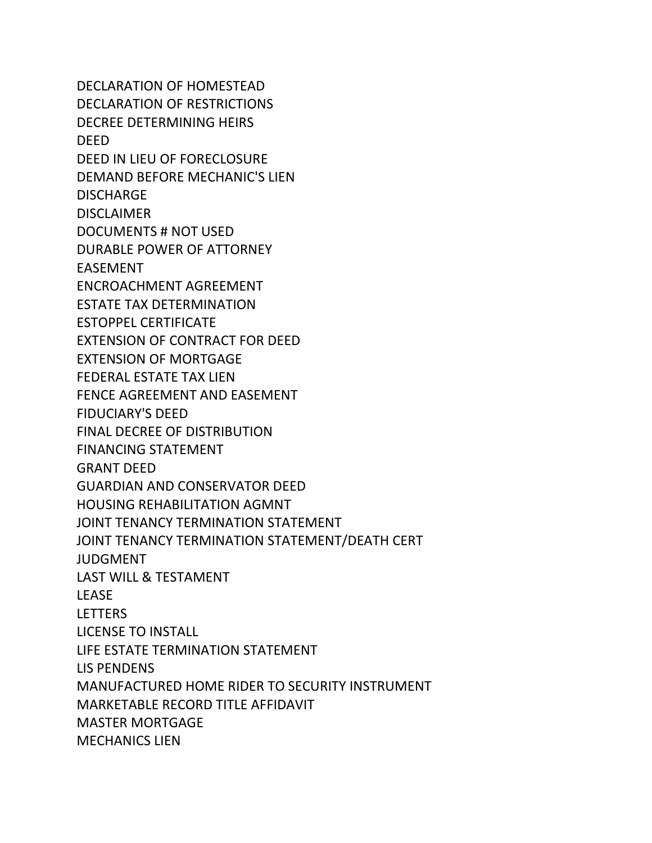DECLARATION OF HOMESTEAD DECLARATION OF RESTRICTIONS DECREE DETERMINING HEIRS DEED DEED IN LIEU OF FORECLOSURE DEMAND BEFORE MECHANIC'S LIEN DISCHARGE DISCI AIMER DOCUMENTS # NOT USED DURABLE POWER OF ATTORNEY EASEMENT ENCROACHMENT AGREEMENT ESTATE TAX DETERMINATION ESTOPPEL CERTIFICATE EXTENSION OF CONTRACT FOR DEED EXTENSION OF MORTGAGE FEDERAL ESTATE TAX LIEN FENCE AGREEMENT AND EASEMENT FIDUCIARY'S DEED FINAL DECREE OF DISTRIBUTION FINANCING STATEMENT GRANT DEED GUARDIAN AND CONSERVATOR DEED HOUSING REHABILITATION AGMNT JOINT TENANCY TERMINATION STATEMENT JOINT TENANCY TERMINATION STATEMENT/DEATH CERT **JUDGMENT** LAST WILL & TESTAMENT LEASE LETTERS LICENSE TO INSTALL LIFE ESTATE TERMINATION STATEMENT LIS PENDENS MANUFACTURED HOME RIDER TO SECURITY INSTRUMENT MARKETABLE RECORD TITLE AFFIDAVIT MASTER MORTGAGE MECHANICS LIEN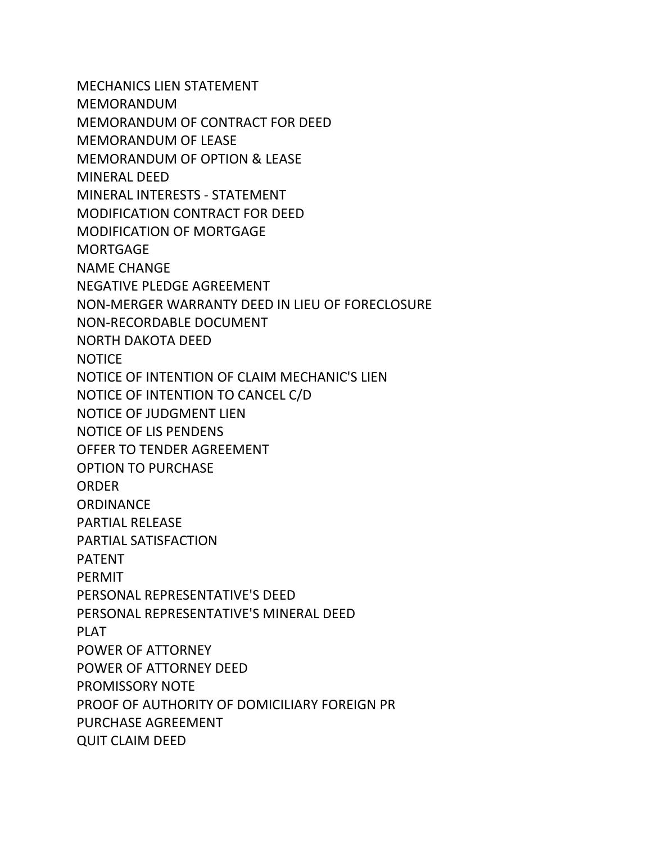MECHANICS LIEN STATEMENT MEMORANDUM MEMORANDUM OF CONTRACT FOR DEED MEMORANDUM OF LEASE MEMORANDUM OF OPTION & LEASE MINERAL DEED MINERAL INTERESTS - STATEMENT MODIFICATION CONTRACT FOR DEED MODIFICATION OF MORTGAGE MORTGAGE NAME CHANGE NEGATIVE PLEDGE AGREEMENT NON-MERGER WARRANTY DEED IN LIEU OF FORECLOSURE NON-RECORDABLE DOCUMENT NORTH DAKOTA DEED **NOTICE** NOTICE OF INTENTION OF CLAIM MECHANIC'S LIEN NOTICE OF INTENTION TO CANCEL C/D NOTICE OF JUDGMENT LIEN NOTICE OF LIS PENDENS OFFER TO TENDER AGREEMENT OPTION TO PURCHASE ORDER **ORDINANCE** PARTIAL RELEASE PARTIAL SATISFACTION PATENT PERMIT PERSONAL REPRESENTATIVE'S DEED PERSONAL REPRESENTATIVE'S MINERAL DEED PLAT POWER OF ATTORNEY POWER OF ATTORNEY DEED PROMISSORY NOTE PROOF OF AUTHORITY OF DOMICILIARY FOREIGN PR PURCHASE AGREEMENT QUIT CLAIM DEED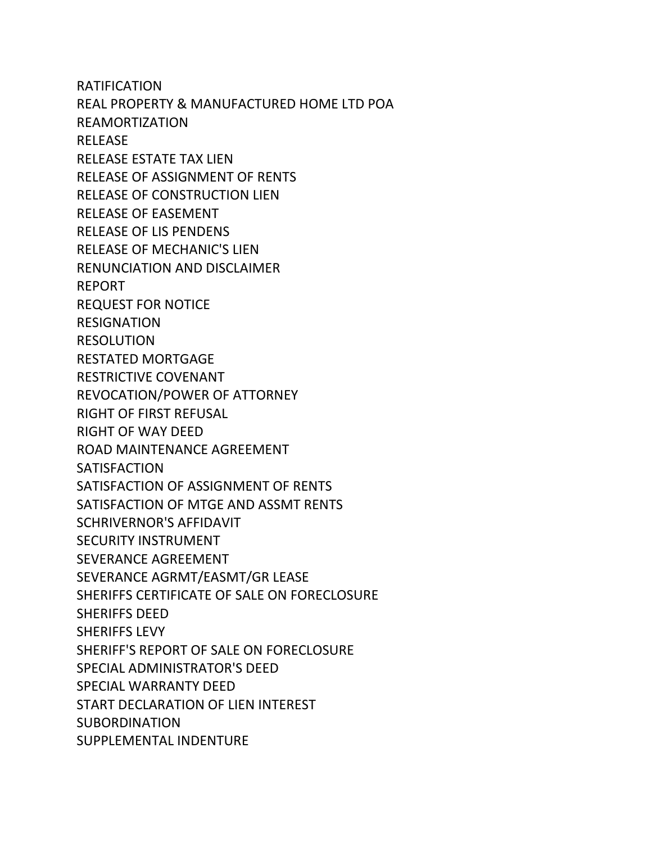RATIFICATION REAL PROPERTY & MANUFACTURED HOME LTD POA REAMORTIZATION RELEASE RELEASE ESTATE TAX LIEN RELEASE OF ASSIGNMENT OF RENTS RELEASE OF CONSTRUCTION LIEN RELEASE OF EASEMENT RELEASE OF LIS PENDENS RELEASE OF MECHANIC'S LIEN RENUNCIATION AND DISCLAIMER REPORT REQUEST FOR NOTICE **RESIGNATION** RESOLUTION RESTATED MORTGAGE RESTRICTIVE COVENANT REVOCATION/POWER OF ATTORNEY RIGHT OF FIRST REFUSAL RIGHT OF WAY DEED ROAD MAINTENANCE AGREEMENT **SATISFACTION** SATISFACTION OF ASSIGNMENT OF RENTS SATISFACTION OF MTGE AND ASSMT RENTS SCHRIVERNOR'S AFFIDAVIT SECURITY INSTRUMENT SEVERANCE AGREEMENT SEVERANCE AGRMT/EASMT/GR LEASE SHERIFFS CERTIFICATE OF SALE ON FORECLOSURE SHERIFFS DEED SHERIFFS LEVY SHERIFF'S REPORT OF SALE ON FORECLOSURE SPECIAL ADMINISTRATOR'S DEED SPECIAL WARRANTY DEED START DECLARATION OF LIEN INTEREST SUBORDINATION SUPPLEMENTAL INDENTURE